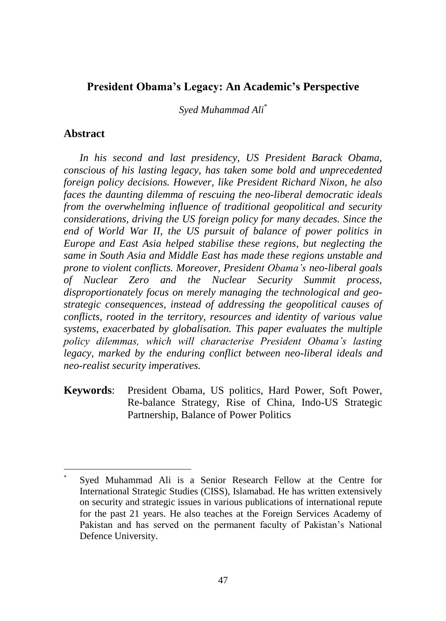# **President Obama's Legacy: An Academic's Perspective**

*Syed Muhammad Ali*\*

## **Abstract**

 $\overline{a}$ 

*In his second and last presidency, US President Barack Obama, conscious of his lasting legacy, has taken some bold and unprecedented foreign policy decisions. However, like President Richard Nixon, he also faces the daunting dilemma of rescuing the neo-liberal democratic ideals from the overwhelming influence of traditional geopolitical and security considerations, driving the US foreign policy for many decades. Since the end of World War II, the US pursuit of balance of power politics in Europe and East Asia helped stabilise these regions, but neglecting the same in South Asia and Middle East has made these regions unstable and prone to violent conflicts. Moreover, President Obama's neo-liberal goals of Nuclear Zero and the Nuclear Security Summit process, disproportionately focus on merely managing the technological and geostrategic consequences, instead of addressing the geopolitical causes of conflicts, rooted in the territory, resources and identity of various value systems, exacerbated by globalisation. This paper evaluates the multiple policy dilemmas, which will characterise President Obama's lasting legacy, marked by the enduring conflict between neo-liberal ideals and neo-realist security imperatives.*

**Keywords**: President Obama, US politics, Hard Power, Soft Power, Re-balance Strategy, Rise of China, Indo-US Strategic Partnership, Balance of Power Politics

Syed Muhammad Ali is a Senior Research Fellow at the Centre for International Strategic Studies (CISS), Islamabad. He has written extensively on security and strategic issues in various publications of international repute for the past 21 years. He also teaches at the Foreign Services Academy of Pakistan and has served on the permanent faculty of Pakistan's National Defence University.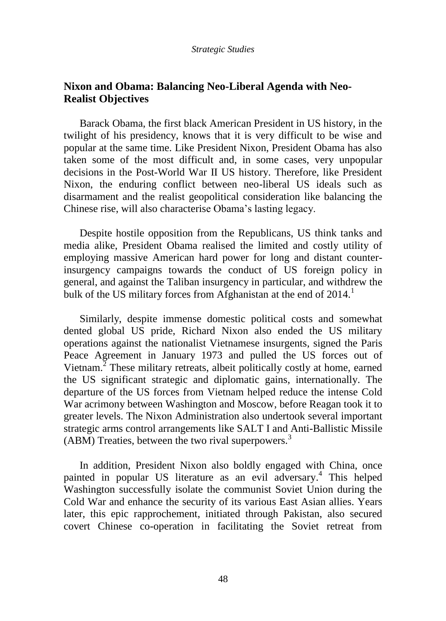# **Nixon and Obama: Balancing Neo-Liberal Agenda with Neo-Realist Objectives**

Barack Obama, the first black American President in US history, in the twilight of his presidency, knows that it is very difficult to be wise and popular at the same time. Like President Nixon, President Obama has also taken some of the most difficult and, in some cases, very unpopular decisions in the Post-World War II US history. Therefore, like President Nixon, the enduring conflict between neo-liberal US ideals such as disarmament and the realist geopolitical consideration like balancing the Chinese rise, will also characterise Obama"s lasting legacy.

Despite hostile opposition from the Republicans, US think tanks and media alike, President Obama realised the limited and costly utility of employing massive American hard power for long and distant counterinsurgency campaigns towards the conduct of US foreign policy in general, and against the Taliban insurgency in particular, and withdrew the bulk of the US military forces from Afghanistan at the end of 2014.<sup>1</sup>

Similarly, despite immense domestic political costs and somewhat dented global US pride, Richard Nixon also ended the US military operations against the nationalist Vietnamese insurgents, signed the Paris Peace Agreement in January 1973 and pulled the US forces out of Vietnam.<sup>2</sup> These military retreats, albeit politically costly at home, earned the US significant strategic and diplomatic gains, internationally. The departure of the US forces from Vietnam helped reduce the intense Cold War acrimony between Washington and Moscow, before Reagan took it to greater levels. The Nixon Administration also undertook several important strategic arms control arrangements like SALT I and Anti-Ballistic Missile (ABM) Treaties, between the two rival superpowers.<sup>3</sup>

In addition, President Nixon also boldly engaged with China, once painted in popular US literature as an evil adversary. 4 This helped Washington successfully isolate the communist Soviet Union during the Cold War and enhance the security of its various East Asian allies. Years later, this epic rapprochement, initiated through Pakistan, also secured covert Chinese co-operation in facilitating the Soviet retreat from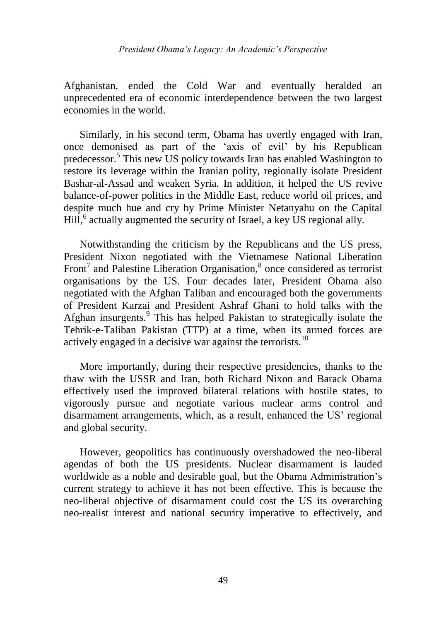Afghanistan, ended the Cold War and eventually heralded an unprecedented era of economic interdependence between the two largest economies in the world.

Similarly, in his second term, Obama has overtly engaged with Iran, once demonised as part of the "axis of evil" by his Republican predecessor. 5 This new US policy towards Iran has enabled Washington to restore its leverage within the Iranian polity, regionally isolate President Bashar-al-Assad and weaken Syria. In addition, it helped the US revive balance-of-power politics in the Middle East, reduce world oil prices, and despite much hue and cry by Prime Minister Netanyahu on the Capital Hill,<sup>6</sup> actually augmented the security of Israel, a key US regional ally.

Notwithstanding the criticism by the Republicans and the US press, President Nixon negotiated with the Vietnamese National Liberation Front<sup>7</sup> and Palestine Liberation Organisation,<sup>8</sup> once considered as terrorist organisations by the US. Four decades later, President Obama also negotiated with the Afghan Taliban and encouraged both the governments of President Karzai and President Ashraf Ghani to hold talks with the Afghan insurgents.<sup>9</sup> This has helped Pakistan to strategically isolate the Tehrik-e-Taliban Pakistan (TTP) at a time, when its armed forces are actively engaged in a decisive war against the terrorists.<sup>10</sup>

More importantly, during their respective presidencies, thanks to the thaw with the USSR and Iran, both Richard Nixon and Barack Obama effectively used the improved bilateral relations with hostile states, to vigorously pursue and negotiate various nuclear arms control and disarmament arrangements, which, as a result, enhanced the US' regional and global security.

However, geopolitics has continuously overshadowed the neo-liberal agendas of both the US presidents. Nuclear disarmament is lauded worldwide as a noble and desirable goal, but the Obama Administration's current strategy to achieve it has not been effective. This is because the neo-liberal objective of disarmament could cost the US its overarching neo-realist interest and national security imperative to effectively, and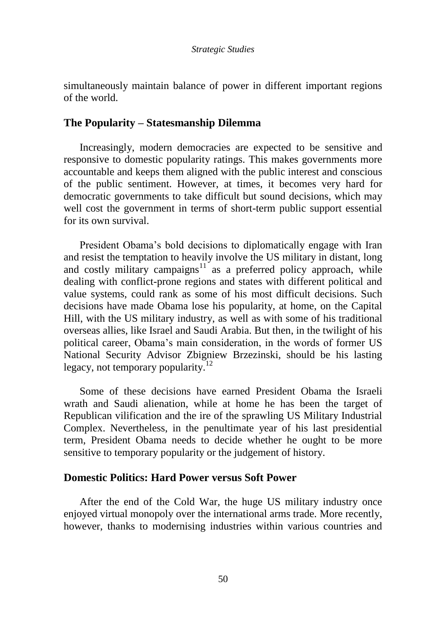simultaneously maintain balance of power in different important regions of the world.

## **The Popularity – Statesmanship Dilemma**

Increasingly, modern democracies are expected to be sensitive and responsive to domestic popularity ratings. This makes governments more accountable and keeps them aligned with the public interest and conscious of the public sentiment. However, at times, it becomes very hard for democratic governments to take difficult but sound decisions, which may well cost the government in terms of short-term public support essential for its own survival.

President Obama"s bold decisions to diplomatically engage with Iran and resist the temptation to heavily involve the US military in distant, long and costly military campaigns $11$  as a preferred policy approach, while dealing with conflict-prone regions and states with different political and value systems, could rank as some of his most difficult decisions. Such decisions have made Obama lose his popularity, at home, on the Capital Hill, with the US military industry, as well as with some of his traditional overseas allies, like Israel and Saudi Arabia. But then, in the twilight of his political career, Obama"s main consideration, in the words of former US National Security Advisor Zbigniew Brzezinski, should be his lasting legacy, not temporary popularity.<sup>12</sup>

Some of these decisions have earned President Obama the Israeli wrath and Saudi alienation, while at home he has been the target of Republican vilification and the ire of the sprawling US Military Industrial Complex. Nevertheless, in the penultimate year of his last presidential term, President Obama needs to decide whether he ought to be more sensitive to temporary popularity or the judgement of history.

## **Domestic Politics: Hard Power versus Soft Power**

After the end of the Cold War, the huge US military industry once enjoyed virtual monopoly over the international arms trade. More recently, however, thanks to modernising industries within various countries and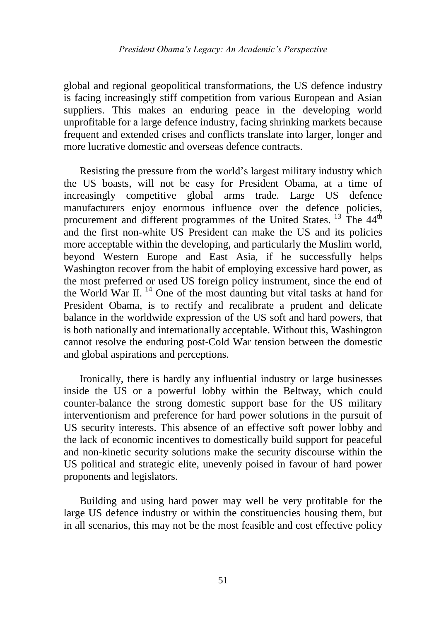global and regional geopolitical transformations, the US defence industry is facing increasingly stiff competition from various European and Asian suppliers. This makes an enduring peace in the developing world unprofitable for a large defence industry, facing shrinking markets because frequent and extended crises and conflicts translate into larger, longer and more lucrative domestic and overseas defence contracts.

Resisting the pressure from the world"s largest military industry which the US boasts, will not be easy for President Obama, at a time of increasingly competitive global arms trade. Large US defence manufacturers enjoy enormous influence over the defence policies, procurement and different programmes of the United States.  $13$  The  $44<sup>th</sup>$ and the first non-white US President can make the US and its policies more acceptable within the developing, and particularly the Muslim world, beyond Western Europe and East Asia, if he successfully helps Washington recover from the habit of employing excessive hard power, as the most preferred or used US foreign policy instrument, since the end of the World War II. <sup>14</sup> One of the most daunting but vital tasks at hand for President Obama, is to rectify and recalibrate a prudent and delicate balance in the worldwide expression of the US soft and hard powers, that is both nationally and internationally acceptable. Without this, Washington cannot resolve the enduring post-Cold War tension between the domestic and global aspirations and perceptions.

Ironically, there is hardly any influential industry or large businesses inside the US or a powerful lobby within the Beltway, which could counter-balance the strong domestic support base for the US military interventionism and preference for hard power solutions in the pursuit of US security interests. This absence of an effective soft power lobby and the lack of economic incentives to domestically build support for peaceful and non-kinetic security solutions make the security discourse within the US political and strategic elite, unevenly poised in favour of hard power proponents and legislators.

Building and using hard power may well be very profitable for the large US defence industry or within the constituencies housing them, but in all scenarios, this may not be the most feasible and cost effective policy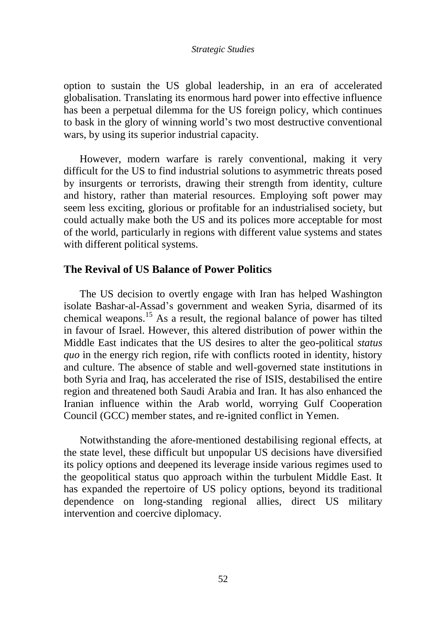option to sustain the US global leadership, in an era of accelerated globalisation. Translating its enormous hard power into effective influence has been a perpetual dilemma for the US foreign policy, which continues to bask in the glory of winning world"s two most destructive conventional wars, by using its superior industrial capacity.

However, modern warfare is rarely conventional, making it very difficult for the US to find industrial solutions to asymmetric threats posed by insurgents or terrorists, drawing their strength from identity, culture and history, rather than material resources. Employing soft power may seem less exciting, glorious or profitable for an industrialised society, but could actually make both the US and its polices more acceptable for most of the world, particularly in regions with different value systems and states with different political systems.

## **The Revival of US Balance of Power Politics**

The US decision to overtly engage with Iran has helped Washington isolate Bashar-al-Assad"s government and weaken Syria, disarmed of its chemical weapons. <sup>15</sup> As a result, the regional balance of power has tilted in favour of Israel. However, this altered distribution of power within the Middle East indicates that the US desires to alter the geo-political *status quo* in the energy rich region, rife with conflicts rooted in identity, history and culture. The absence of stable and well-governed state institutions in both Syria and Iraq, has accelerated the rise of ISIS, destabilised the entire region and threatened both Saudi Arabia and Iran. It has also enhanced the Iranian influence within the Arab world, worrying Gulf Cooperation Council (GCC) member states, and re-ignited conflict in Yemen.

Notwithstanding the afore-mentioned destabilising regional effects, at the state level, these difficult but unpopular US decisions have diversified its policy options and deepened its leverage inside various regimes used to the geopolitical status quo approach within the turbulent Middle East. It has expanded the repertoire of US policy options, beyond its traditional dependence on long-standing regional allies, direct US military intervention and coercive diplomacy.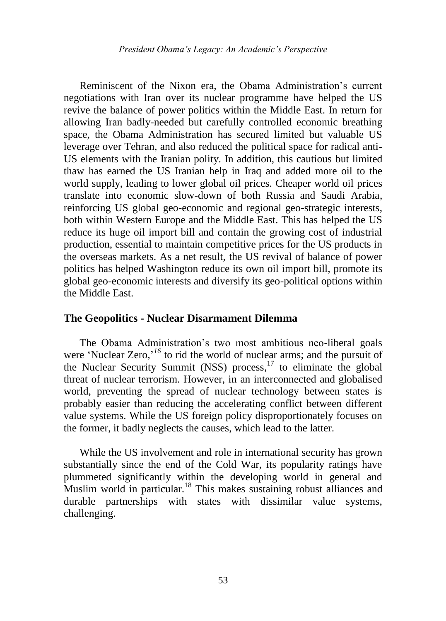Reminiscent of the Nixon era, the Obama Administration's current negotiations with Iran over its nuclear programme have helped the US revive the balance of power politics within the Middle East. In return for allowing Iran badly-needed but carefully controlled economic breathing space, the Obama Administration has secured limited but valuable US leverage over Tehran, and also reduced the political space for radical anti-US elements with the Iranian polity. In addition, this cautious but limited thaw has earned the US Iranian help in Iraq and added more oil to the world supply, leading to lower global oil prices. Cheaper world oil prices translate into economic slow-down of both Russia and Saudi Arabia, reinforcing US global geo-economic and regional geo-strategic interests, both within Western Europe and the Middle East. This has helped the US reduce its huge oil import bill and contain the growing cost of industrial production, essential to maintain competitive prices for the US products in the overseas markets. As a net result, the US revival of balance of power politics has helped Washington reduce its own oil import bill, promote its global geo-economic interests and diversify its geo-political options within the Middle East.

## **The Geopolitics - Nuclear Disarmament Dilemma**

The Obama Administration"s two most ambitious neo-liberal goals were 'Nuclear Zero,<sup>'16</sup> to rid the world of nuclear arms; and the pursuit of the Nuclear Security Summit (NSS) process,<sup>17</sup> to eliminate the global threat of nuclear terrorism. However, in an interconnected and globalised world, preventing the spread of nuclear technology between states is probably easier than reducing the accelerating conflict between different value systems. While the US foreign policy disproportionately focuses on the former, it badly neglects the causes, which lead to the latter.

While the US involvement and role in international security has grown substantially since the end of the Cold War, its popularity ratings have plummeted significantly within the developing world in general and Muslim world in particular.<sup>18</sup> This makes sustaining robust alliances and durable partnerships with states with dissimilar value systems, challenging.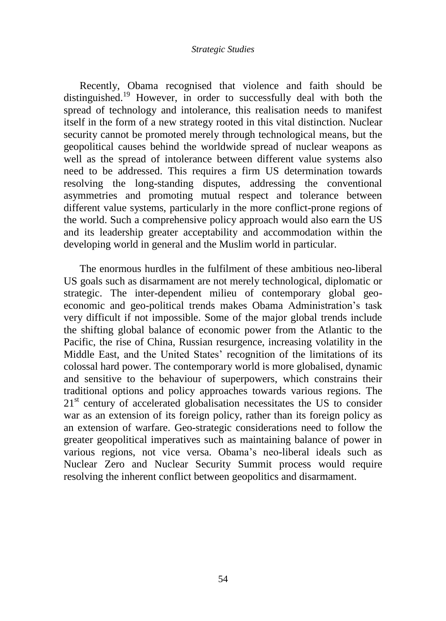Recently, Obama recognised that violence and faith should be distinguished.<sup>19</sup> However, in order to successfully deal with both the spread of technology and intolerance, this realisation needs to manifest itself in the form of a new strategy rooted in this vital distinction. Nuclear security cannot be promoted merely through technological means, but the geopolitical causes behind the worldwide spread of nuclear weapons as well as the spread of intolerance between different value systems also need to be addressed. This requires a firm US determination towards resolving the long-standing disputes, addressing the conventional asymmetries and promoting mutual respect and tolerance between different value systems, particularly in the more conflict-prone regions of the world. Such a comprehensive policy approach would also earn the US and its leadership greater acceptability and accommodation within the developing world in general and the Muslim world in particular.

The enormous hurdles in the fulfilment of these ambitious neo-liberal US goals such as disarmament are not merely technological, diplomatic or strategic. The inter-dependent milieu of contemporary global geoeconomic and geo-political trends makes Obama Administration"s task very difficult if not impossible. Some of the major global trends include the shifting global balance of economic power from the Atlantic to the Pacific, the rise of China, Russian resurgence, increasing volatility in the Middle East, and the United States' recognition of the limitations of its colossal hard power. The contemporary world is more globalised, dynamic and sensitive to the behaviour of superpowers, which constrains their traditional options and policy approaches towards various regions. The  $21<sup>st</sup>$  century of accelerated globalisation necessitates the US to consider war as an extension of its foreign policy, rather than its foreign policy as an extension of warfare. Geo-strategic considerations need to follow the greater geopolitical imperatives such as maintaining balance of power in various regions, not vice versa. Obama"s neo-liberal ideals such as Nuclear Zero and Nuclear Security Summit process would require resolving the inherent conflict between geopolitics and disarmament.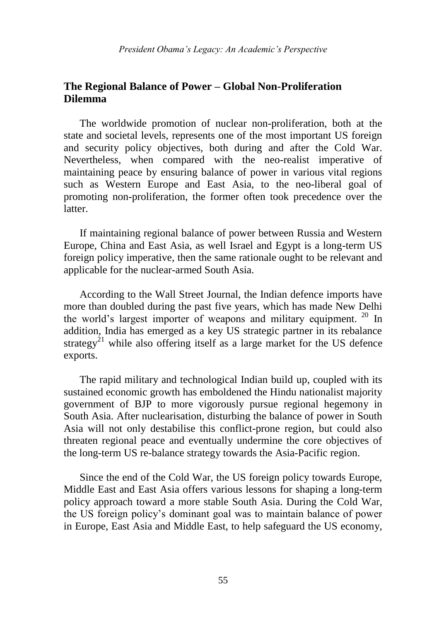# **The Regional Balance of Power – Global Non-Proliferation Dilemma**

The worldwide promotion of nuclear non-proliferation, both at the state and societal levels, represents one of the most important US foreign and security policy objectives, both during and after the Cold War. Nevertheless, when compared with the neo-realist imperative of maintaining peace by ensuring balance of power in various vital regions such as Western Europe and East Asia, to the neo-liberal goal of promoting non-proliferation, the former often took precedence over the latter.

If maintaining regional balance of power between Russia and Western Europe, China and East Asia, as well Israel and Egypt is a long-term US foreign policy imperative, then the same rationale ought to be relevant and applicable for the nuclear-armed South Asia.

According to the Wall Street Journal, the Indian defence imports have more than doubled during the past five years, which has made New Delhi the world's largest importer of weapons and military equipment. <sup>20</sup> In addition, India has emerged as a key US strategic partner in its rebalance strategy<sup>21</sup> while also offering itself as a large market for the US defence exports.

The rapid military and technological Indian build up, coupled with its sustained economic growth has emboldened the Hindu nationalist majority government of BJP to more vigorously pursue regional hegemony in South Asia. After nuclearisation, disturbing the balance of power in South Asia will not only destabilise this conflict-prone region, but could also threaten regional peace and eventually undermine the core objectives of the long-term US re-balance strategy towards the Asia-Pacific region.

Since the end of the Cold War, the US foreign policy towards Europe, Middle East and East Asia offers various lessons for shaping a long-term policy approach toward a more stable South Asia. During the Cold War, the US foreign policy"s dominant goal was to maintain balance of power in Europe, East Asia and Middle East, to help safeguard the US economy,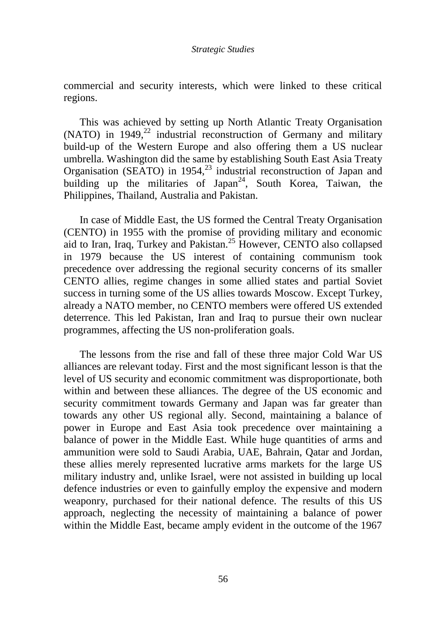commercial and security interests, which were linked to these critical regions.

This was achieved by setting up North Atlantic Treaty Organisation (NATO) in  $1949$ ,<sup>22</sup> industrial reconstruction of Germany and military build-up of the Western Europe and also offering them a US nuclear umbrella. Washington did the same by establishing South East Asia Treaty Organisation (SEATO) in  $1954<sup>23</sup>$  industrial reconstruction of Japan and building up the militaries of Japan<sup>24</sup>, South Korea, Taiwan, the Philippines, Thailand, Australia and Pakistan.

In case of Middle East, the US formed the Central Treaty Organisation (CENTO) in 1955 with the promise of providing military and economic aid to Iran, Iraq, Turkey and Pakistan.<sup>25</sup> However, CENTO also collapsed in 1979 because the US interest of containing communism took precedence over addressing the regional security concerns of its smaller CENTO allies, regime changes in some allied states and partial Soviet success in turning some of the US allies towards Moscow. Except Turkey, already a NATO member, no CENTO members were offered US extended deterrence. This led Pakistan, Iran and Iraq to pursue their own nuclear programmes, affecting the US non-proliferation goals.

The lessons from the rise and fall of these three major Cold War US alliances are relevant today. First and the most significant lesson is that the level of US security and economic commitment was disproportionate, both within and between these alliances. The degree of the US economic and security commitment towards Germany and Japan was far greater than towards any other US regional ally. Second, maintaining a balance of power in Europe and East Asia took precedence over maintaining a balance of power in the Middle East. While huge quantities of arms and ammunition were sold to Saudi Arabia, UAE, Bahrain, Qatar and Jordan, these allies merely represented lucrative arms markets for the large US military industry and, unlike Israel, were not assisted in building up local defence industries or even to gainfully employ the expensive and modern weaponry, purchased for their national defence. The results of this US approach, neglecting the necessity of maintaining a balance of power within the Middle East, became amply evident in the outcome of the 1967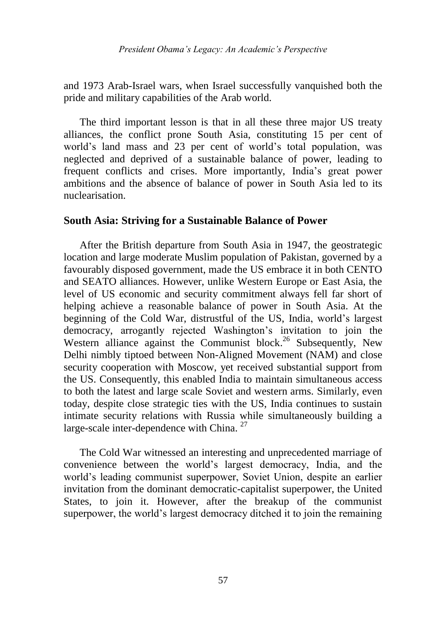and 1973 Arab-Israel wars, when Israel successfully vanquished both the pride and military capabilities of the Arab world.

The third important lesson is that in all these three major US treaty alliances, the conflict prone South Asia, constituting 15 per cent of world"s land mass and 23 per cent of world"s total population, was neglected and deprived of a sustainable balance of power, leading to frequent conflicts and crises. More importantly, India"s great power ambitions and the absence of balance of power in South Asia led to its nuclearisation.

## **South Asia: Striving for a Sustainable Balance of Power**

After the British departure from South Asia in 1947, the geostrategic location and large moderate Muslim population of Pakistan, governed by a favourably disposed government, made the US embrace it in both CENTO and SEATO alliances. However, unlike Western Europe or East Asia, the level of US economic and security commitment always fell far short of helping achieve a reasonable balance of power in South Asia. At the beginning of the Cold War, distrustful of the US, India, world"s largest democracy, arrogantly rejected Washington"s invitation to join the Western alliance against the Communist block.<sup>26</sup> Subsequently, New Delhi nimbly tiptoed between Non-Aligned Movement (NAM) and close security cooperation with Moscow, yet received substantial support from the US. Consequently, this enabled India to maintain simultaneous access to both the latest and large scale Soviet and western arms. Similarly, even today, despite close strategic ties with the US, India continues to sustain intimate security relations with Russia while simultaneously building a large-scale inter-dependence with China.  $27$ 

The Cold War witnessed an interesting and unprecedented marriage of convenience between the world"s largest democracy, India, and the world"s leading communist superpower, Soviet Union, despite an earlier invitation from the dominant democratic-capitalist superpower, the United States, to join it. However, after the breakup of the communist superpower, the world"s largest democracy ditched it to join the remaining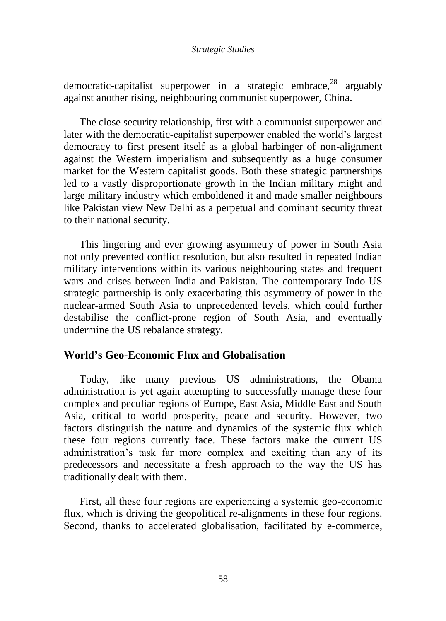democratic-capitalist superpower in a strategic embrace,  $28$  arguably against another rising, neighbouring communist superpower, China.

The close security relationship, first with a communist superpower and later with the democratic-capitalist superpower enabled the world"s largest democracy to first present itself as a global harbinger of non-alignment against the Western imperialism and subsequently as a huge consumer market for the Western capitalist goods. Both these strategic partnerships led to a vastly disproportionate growth in the Indian military might and large military industry which emboldened it and made smaller neighbours like Pakistan view New Delhi as a perpetual and dominant security threat to their national security.

This lingering and ever growing asymmetry of power in South Asia not only prevented conflict resolution, but also resulted in repeated Indian military interventions within its various neighbouring states and frequent wars and crises between India and Pakistan. The contemporary Indo-US strategic partnership is only exacerbating this asymmetry of power in the nuclear-armed South Asia to unprecedented levels, which could further destabilise the conflict-prone region of South Asia, and eventually undermine the US rebalance strategy.

## **World's Geo-Economic Flux and Globalisation**

Today, like many previous US administrations, the Obama administration is yet again attempting to successfully manage these four complex and peculiar regions of Europe, East Asia, Middle East and South Asia, critical to world prosperity, peace and security. However, two factors distinguish the nature and dynamics of the systemic flux which these four regions currently face. These factors make the current US administration"s task far more complex and exciting than any of its predecessors and necessitate a fresh approach to the way the US has traditionally dealt with them.

First, all these four regions are experiencing a systemic geo-economic flux, which is driving the geopolitical re-alignments in these four regions. Second, thanks to accelerated globalisation, facilitated by e-commerce,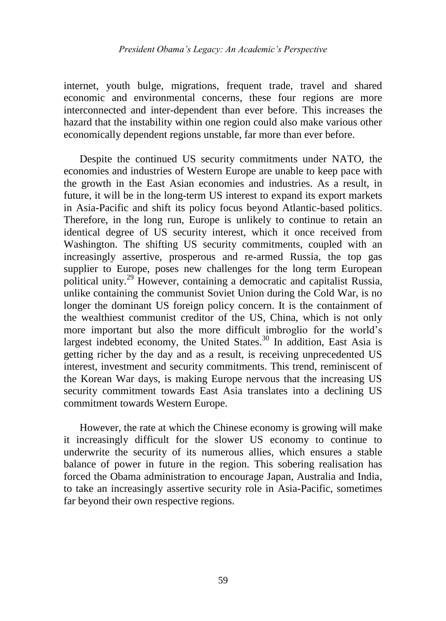internet, youth bulge, migrations, frequent trade, travel and shared economic and environmental concerns, these four regions are more interconnected and inter-dependent than ever before. This increases the hazard that the instability within one region could also make various other economically dependent regions unstable, far more than ever before.

Despite the continued US security commitments under NATO, the economies and industries of Western Europe are unable to keep pace with the growth in the East Asian economies and industries. As a result, in future, it will be in the long-term US interest to expand its export markets in Asia-Pacific and shift its policy focus beyond Atlantic-based politics. Therefore, in the long run, Europe is unlikely to continue to retain an identical degree of US security interest, which it once received from Washington. The shifting US security commitments, coupled with an increasingly assertive, prosperous and re-armed Russia, the top gas supplier to Europe, poses new challenges for the long term European political unity.<sup>29</sup> However, containing a democratic and capitalist Russia, unlike containing the communist Soviet Union during the Cold War, is no longer the dominant US foreign policy concern. It is the containment of the wealthiest communist creditor of the US, China, which is not only more important but also the more difficult imbroglio for the world"s largest indebted economy, the United States.<sup>30</sup> In addition, East Asia is getting richer by the day and as a result, is receiving unprecedented US interest, investment and security commitments. This trend, reminiscent of the Korean War days, is making Europe nervous that the increasing US security commitment towards East Asia translates into a declining US commitment towards Western Europe.

However, the rate at which the Chinese economy is growing will make it increasingly difficult for the slower US economy to continue to underwrite the security of its numerous allies, which ensures a stable balance of power in future in the region. This sobering realisation has forced the Obama administration to encourage Japan, Australia and India, to take an increasingly assertive security role in Asia-Pacific, sometimes far beyond their own respective regions.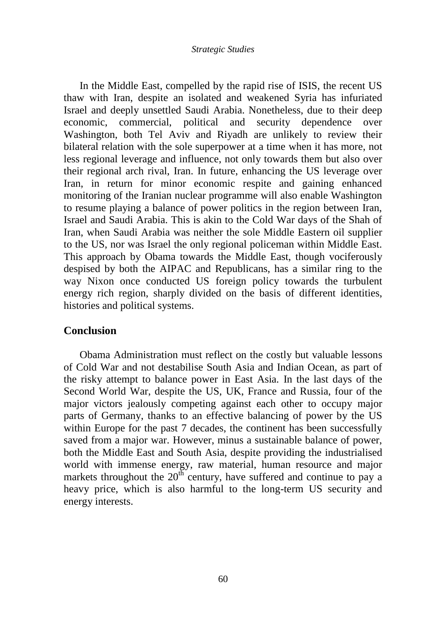In the Middle East, compelled by the rapid rise of ISIS, the recent US thaw with Iran, despite an isolated and weakened Syria has infuriated Israel and deeply unsettled Saudi Arabia. Nonetheless, due to their deep economic, commercial, political and security dependence over Washington, both Tel Aviv and Riyadh are unlikely to review their bilateral relation with the sole superpower at a time when it has more, not less regional leverage and influence, not only towards them but also over their regional arch rival, Iran. In future, enhancing the US leverage over Iran, in return for minor economic respite and gaining enhanced monitoring of the Iranian nuclear programme will also enable Washington to resume playing a balance of power politics in the region between Iran, Israel and Saudi Arabia. This is akin to the Cold War days of the Shah of Iran, when Saudi Arabia was neither the sole Middle Eastern oil supplier to the US, nor was Israel the only regional policeman within Middle East. This approach by Obama towards the Middle East, though vociferously despised by both the AIPAC and Republicans, has a similar ring to the way Nixon once conducted US foreign policy towards the turbulent energy rich region, sharply divided on the basis of different identities, histories and political systems.

## **Conclusion**

Obama Administration must reflect on the costly but valuable lessons of Cold War and not destabilise South Asia and Indian Ocean, as part of the risky attempt to balance power in East Asia. In the last days of the Second World War, despite the US, UK, France and Russia, four of the major victors jealously competing against each other to occupy major parts of Germany, thanks to an effective balancing of power by the US within Europe for the past 7 decades, the continent has been successfully saved from a major war. However, minus a sustainable balance of power, both the Middle East and South Asia, despite providing the industrialised world with immense energy, raw material, human resource and major markets throughout the  $20^{th}$  century, have suffered and continue to pay a heavy price, which is also harmful to the long-term US security and energy interests.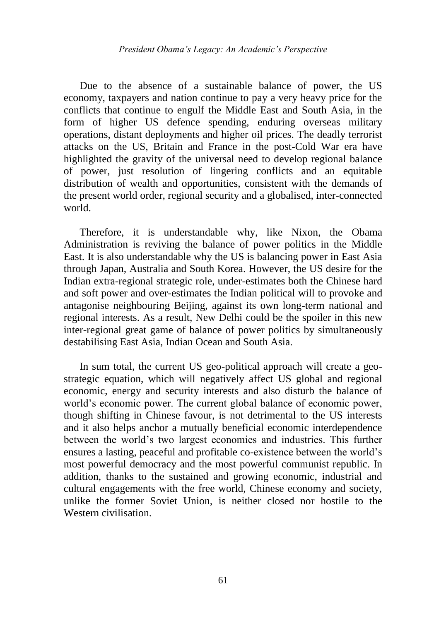Due to the absence of a sustainable balance of power, the US economy, taxpayers and nation continue to pay a very heavy price for the conflicts that continue to engulf the Middle East and South Asia, in the form of higher US defence spending, enduring overseas military operations, distant deployments and higher oil prices. The deadly terrorist attacks on the US, Britain and France in the post-Cold War era have highlighted the gravity of the universal need to develop regional balance of power, just resolution of lingering conflicts and an equitable distribution of wealth and opportunities, consistent with the demands of the present world order, regional security and a globalised, inter-connected world.

Therefore, it is understandable why, like Nixon, the Obama Administration is reviving the balance of power politics in the Middle East. It is also understandable why the US is balancing power in East Asia through Japan, Australia and South Korea. However, the US desire for the Indian extra-regional strategic role, under-estimates both the Chinese hard and soft power and over-estimates the Indian political will to provoke and antagonise neighbouring Beijing, against its own long-term national and regional interests. As a result, New Delhi could be the spoiler in this new inter-regional great game of balance of power politics by simultaneously destabilising East Asia, Indian Ocean and South Asia.

In sum total, the current US geo-political approach will create a geostrategic equation, which will negatively affect US global and regional economic, energy and security interests and also disturb the balance of world"s economic power. The current global balance of economic power, though shifting in Chinese favour, is not detrimental to the US interests and it also helps anchor a mutually beneficial economic interdependence between the world"s two largest economies and industries. This further ensures a lasting, peaceful and profitable co-existence between the world"s most powerful democracy and the most powerful communist republic. In addition, thanks to the sustained and growing economic, industrial and cultural engagements with the free world, Chinese economy and society, unlike the former Soviet Union, is neither closed nor hostile to the Western civilisation.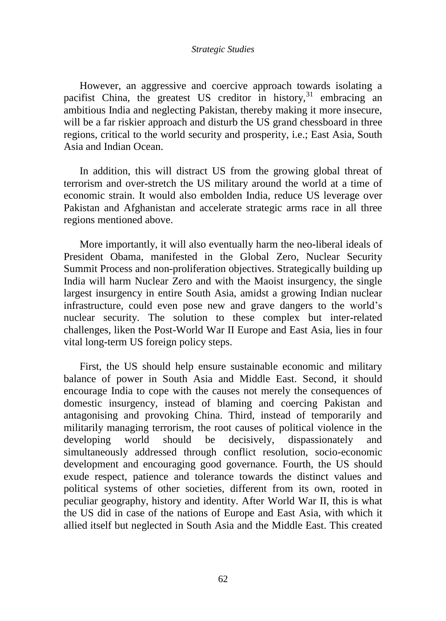However, an aggressive and coercive approach towards isolating a pacifist China, the greatest US creditor in history, $31$  embracing an ambitious India and neglecting Pakistan, thereby making it more insecure, will be a far riskier approach and disturb the US grand chessboard in three regions, critical to the world security and prosperity, i.e.; East Asia, South Asia and Indian Ocean.

In addition, this will distract US from the growing global threat of terrorism and over-stretch the US military around the world at a time of economic strain. It would also embolden India, reduce US leverage over Pakistan and Afghanistan and accelerate strategic arms race in all three regions mentioned above.

More importantly, it will also eventually harm the neo-liberal ideals of President Obama, manifested in the Global Zero, Nuclear Security Summit Process and non-proliferation objectives. Strategically building up India will harm Nuclear Zero and with the Maoist insurgency, the single largest insurgency in entire South Asia, amidst a growing Indian nuclear infrastructure, could even pose new and grave dangers to the world"s nuclear security. The solution to these complex but inter-related challenges, liken the Post-World War II Europe and East Asia, lies in four vital long-term US foreign policy steps.

First, the US should help ensure sustainable economic and military balance of power in South Asia and Middle East. Second, it should encourage India to cope with the causes not merely the consequences of domestic insurgency, instead of blaming and coercing Pakistan and antagonising and provoking China. Third, instead of temporarily and militarily managing terrorism, the root causes of political violence in the developing world should be decisively, dispassionately and simultaneously addressed through conflict resolution, socio-economic development and encouraging good governance. Fourth, the US should exude respect, patience and tolerance towards the distinct values and political systems of other societies, different from its own, rooted in peculiar geography, history and identity. After World War II, this is what the US did in case of the nations of Europe and East Asia, with which it allied itself but neglected in South Asia and the Middle East. This created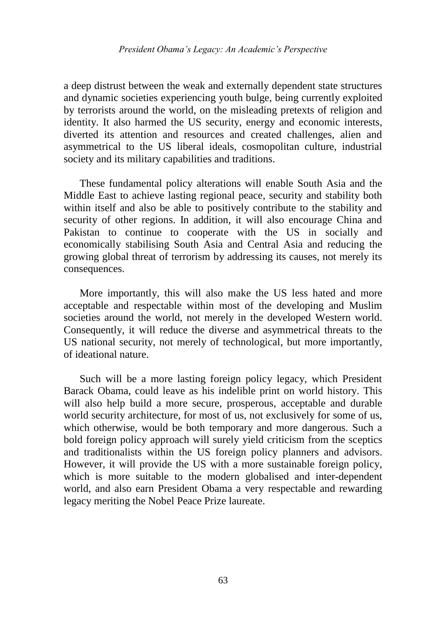a deep distrust between the weak and externally dependent state structures and dynamic societies experiencing youth bulge, being currently exploited by terrorists around the world, on the misleading pretexts of religion and identity. It also harmed the US security, energy and economic interests, diverted its attention and resources and created challenges, alien and asymmetrical to the US liberal ideals, cosmopolitan culture, industrial society and its military capabilities and traditions.

These fundamental policy alterations will enable South Asia and the Middle East to achieve lasting regional peace, security and stability both within itself and also be able to positively contribute to the stability and security of other regions. In addition, it will also encourage China and Pakistan to continue to cooperate with the US in socially and economically stabilising South Asia and Central Asia and reducing the growing global threat of terrorism by addressing its causes, not merely its consequences.

More importantly, this will also make the US less hated and more acceptable and respectable within most of the developing and Muslim societies around the world, not merely in the developed Western world. Consequently, it will reduce the diverse and asymmetrical threats to the US national security, not merely of technological, but more importantly, of ideational nature.

Such will be a more lasting foreign policy legacy, which President Barack Obama, could leave as his indelible print on world history. This will also help build a more secure, prosperous, acceptable and durable world security architecture, for most of us, not exclusively for some of us, which otherwise, would be both temporary and more dangerous. Such a bold foreign policy approach will surely yield criticism from the sceptics and traditionalists within the US foreign policy planners and advisors. However, it will provide the US with a more sustainable foreign policy, which is more suitable to the modern globalised and inter-dependent world, and also earn President Obama a very respectable and rewarding legacy meriting the Nobel Peace Prize laureate.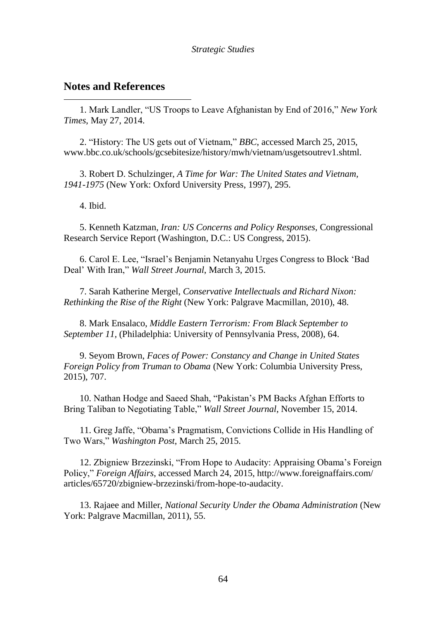### **Notes and References**

1. Mark Landler, "US Troops to Leave Afghanistan by End of 2016," *New York Times*, May 27, 2014.

2. "History: The US gets out of Vietnam," *BBC*, accessed March 25, 2015, www.bbc.co.uk/schools/gcsebitesize/history/mwh/vietnam/usgetsoutrev1.shtml.

3. Robert D. Schulzinger, *A Time for War: The United States and Vietnam, 1941-1975* (New York: Oxford University Press, 1997), 295.

4. Ibid.

 $\overline{a}$ 

5. Kenneth Katzman, *Iran: US Concerns and Policy Responses*, Congressional Research Service Report (Washington, D.C.: US Congress, 2015).

6. Carol E. Lee, "Israel"s Benjamin Netanyahu Urges Congress to Block "Bad Deal" With Iran," *Wall Street Journal*, March 3, 2015.

7. Sarah Katherine Mergel, *Conservative Intellectuals and Richard Nixon: Rethinking the Rise of the Right* (New York: Palgrave Macmillan, 2010), 48.

8. Mark Ensalaco, *Middle Eastern Terrorism: From Black September to September 11,* (Philadelphia: University of Pennsylvania Press, 2008), 64.

9. Seyom Brown, *Faces of Power: Constancy and Change in United States Foreign Policy from Truman to Obama* (New York: Columbia University Press, 2015), 707.

10. Nathan Hodge and Saeed Shah, "Pakistan"s PM Backs Afghan Efforts to Bring Taliban to Negotiating Table," *Wall Street Journal*, November 15, 2014.

11. Greg Jaffe, "Obama"s Pragmatism, Convictions Collide in His Handling of Two Wars," *Washington Post*, March 25, 2015.

12. Zbigniew Brzezinski, "From Hope to Audacity: Appraising Obama"s Foreign Policy," *Foreign Affairs*, accessed March 24, 2015, http://www.foreignaffairs.com/ articles/65720/zbigniew-brzezinski/from-hope-to-audacity.

13. Rajaee and Miller, *National Security Under the Obama Administration* (New York: Palgrave Macmillan, 2011), 55.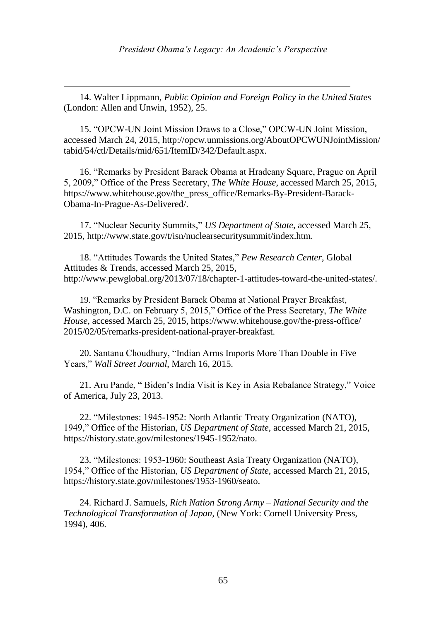14. Walter Lippmann, *Public Opinion and Foreign Policy in the United States* (London: Allen and Unwin, 1952), 25.

 $\overline{a}$ 

15. "OPCW-UN Joint Mission Draws to a Close," OPCW-UN Joint Mission, accessed March 24, 2015, http://opcw.unmissions.org/AboutOPCWUNJointMission/ tabid/54/ctl/Details/mid/651/ItemID/342/Default.aspx.

16. "Remarks by President Barack Obama at Hradcany Square, Prague on April 5, 2009," Office of the Press Secretary, *The White House*, accessed March 25, 2015, https://www.whitehouse.gov/the\_press\_office/Remarks-By-President-Barack-Obama-In-Prague-As-Delivered/.

17. "Nuclear Security Summits," *US Department of State*, accessed March 25, 2015, http://www.state.gov/t/isn/nuclearsecuritysummit/index.htm.

18. "Attitudes Towards the United States," *Pew Research Center*, Global Attitudes & Trends, accessed March 25, 2015, http://www.pewglobal.org/2013/07/18/chapter-1-attitudes-toward-the-united-states/.

19. "Remarks by President Barack Obama at National Prayer Breakfast, Washington, D.C. on February 5, 2015," Office of the Press Secretary, *The White House*, accessed March 25, 2015, https://www.whitehouse.gov/the-press-office/ 2015/02/05/remarks-president-national-prayer-breakfast.

20. Santanu Choudhury, "Indian Arms Imports More Than Double in Five Years," *Wall Street Journal*, March 16, 2015.

21. Aru Pande, " Biden"s India Visit is Key in Asia Rebalance Strategy," Voice of America, July 23, 2013.

22. "Milestones: 1945-1952: North Atlantic Treaty Organization (NATO), 1949," Office of the Historian, *US Department of State*, accessed March 21, 2015, https://history.state.gov/milestones/1945-1952/nato.

23. "Milestones: 1953-1960: Southeast Asia Treaty Organization (NATO), 1954," Office of the Historian, *US Department of State*, accessed March 21, 2015, https://history.state.gov/milestones/1953-1960/seato.

24. Richard J. Samuels, *Rich Nation Strong Army – National Security and the Technological Transformation of Japan,* (New York: Cornell University Press, 1994), 406.